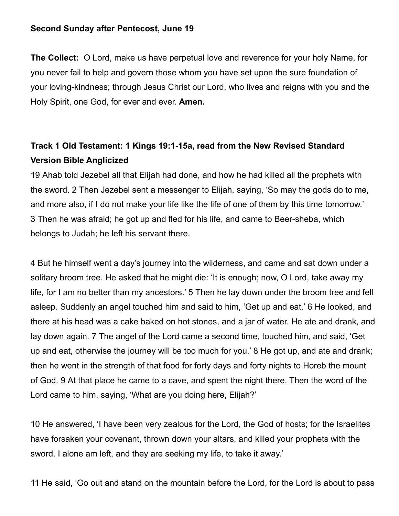### **Second Sunday after Pentecost, June 19**

**The Collect:** O Lord, make us have perpetual love and reverence for your holy Name, for you never fail to help and govern those whom you have set upon the sure foundation of your loving-kindness; through Jesus Christ our Lord, who lives and reigns with you and the Holy Spirit, one God, for ever and ever. **Amen.**

## **Track 1 Old Testament: 1 Kings 19:1-15a, read from the New Revised Standard Version Bible Anglicized**

19 Ahab told Jezebel all that Elijah had done, and how he had killed all the prophets with the sword. 2 Then Jezebel sent a messenger to Elijah, saying, 'So may the gods do to me, and more also, if I do not make your life like the life of one of them by this time tomorrow.' 3 Then he was afraid; he got up and fled for his life, and came to Beer-sheba, which belongs to Judah; he left his servant there.

4 But he himself went a day's journey into the wilderness, and came and sat down under a solitary broom tree. He asked that he might die: 'It is enough; now, O Lord, take away my life, for I am no better than my ancestors.' 5 Then he lay down under the broom tree and fell asleep. Suddenly an angel touched him and said to him, 'Get up and eat.' 6 He looked, and there at his head was a cake baked on hot stones, and a jar of water. He ate and drank, and lay down again. 7 The angel of the Lord came a second time, touched him, and said, 'Get up and eat, otherwise the journey will be too much for you.' 8 He got up, and ate and drank; then he went in the strength of that food for forty days and forty nights to Horeb the mount of God. 9 At that place he came to a cave, and spent the night there. Then the word of the Lord came to him, saying, 'What are you doing here, Elijah?'

10 He answered, 'I have been very zealous for the Lord, the God of hosts; for the Israelites have forsaken your covenant, thrown down your altars, and killed your prophets with the sword. I alone am left, and they are seeking my life, to take it away.'

11 He said, 'Go out and stand on the mountain before the Lord, for the Lord is about to pass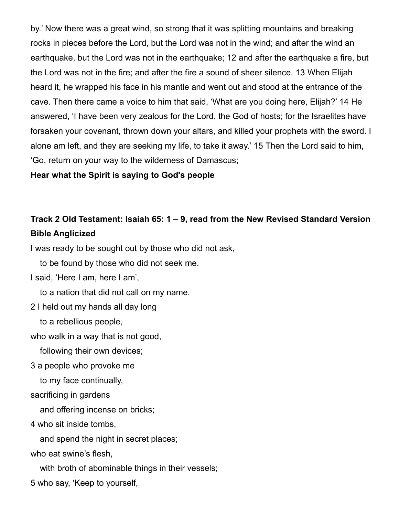by.' Now there was a great wind, so strong that it was splitting mountains and breaking rocks in pieces before the Lord, but the Lord was not in the wind; and after the wind an earthquake, but the Lord was not in the earthquake; 12 and after the earthquake a fire, but the Lord was not in the fire; and after the fire a sound of sheer silence. 13 When Elijah heard it, he wrapped his face in his mantle and went out and stood at the entrance of the cave. Then there came a voice to him that said, 'What are you doing here, Elijah?' 14 He answered, 'I have been very zealous for the Lord, the God of hosts; for the Israelites have forsaken your covenant, thrown down your altars, and killed your prophets with the sword. I alone am left, and they are seeking my life, to take it away.' 15 Then the Lord said to him, 'Go, return on your way to the wilderness of Damascus;

### **Hear what the Spirit is saying to God's people**

## **Track 2 Old Testament: Isaiah 65: 1 – 9, read from the New Revised Standard Version Bible Anglicized**

I was ready to be sought out by those who did not ask,

to be found by those who did not seek me.

I said, 'Here I am, here I am',

to a nation that did not call on my name.

2 I held out my hands all day long

to a rebellious people,

who walk in a way that is not good,

following their own devices;

3 a people who provoke me

to my face continually,

sacrificing in gardens

and offering incense on bricks;

4 who sit inside tombs,

and spend the night in secret places;

who eat swine's flesh,

with broth of abominable things in their vessels;

5 who say, 'Keep to yourself,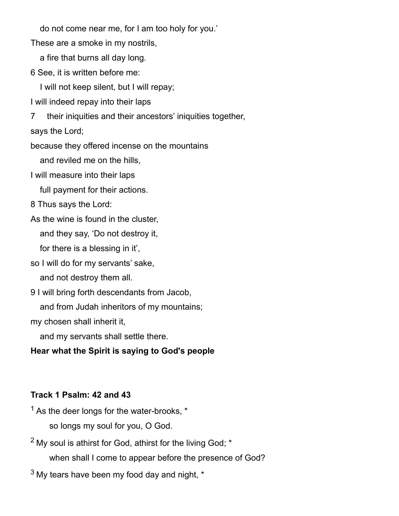do not come near me, for I am too holy for you.'

These are a smoke in my nostrils,

a fire that burns all day long.

6 See, it is written before me:

I will not keep silent, but I will repay;

I will indeed repay into their laps

7 their iniquities and their ancestors' iniquities together,

says the Lord;

because they offered incense on the mountains

and reviled me on the hills,

I will measure into their laps

full payment for their actions.

8 Thus says the Lord:

As the wine is found in the cluster,

and they say, 'Do not destroy it,

for there is a blessing in it',

so I will do for my servants' sake,

and not destroy them all.

9 I will bring forth descendants from Jacob,

and from Judah inheritors of my mountains;

my chosen shall inherit it,

and my servants shall settle there.

### **Hear what the Spirit is saying to God's people**

### **Track 1 Psalm: 42 and 43**

 $<sup>1</sup>$  As the deer longs for the water-brooks,  $*$ </sup> so longs my soul for you, O God.

 $2$  My soul is athirst for God, athirst for the living God;  $*$ 

when shall I come to appear before the presence of God?

 $3$  My tears have been my food day and night,  $*$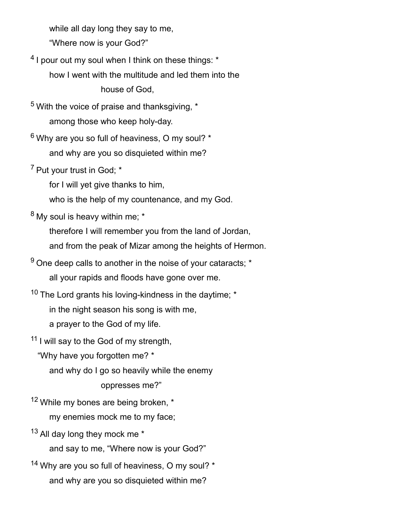while all day long they say to me,

"Where now is your God?"

 $^4$  I pour out my soul when I think on these things:  $^\star$ 

 how I went with the multitude and led them into the house of God,

 $5$  With the voice of praise and thanksgiving,  $*$ among those who keep holy-day.

 $6$  Why are you so full of heaviness, O my soul?  $*$ and why are you so disquieted within me?

<sup>7</sup> Put your trust in God; \*

for I will yet give thanks to him,

who is the help of my countenance, and my God.

 $8$  My soul is heavy within me;  $*$ 

therefore I will remember you from the land of Jordan,

and from the peak of Mizar among the heights of Hermon.

 $9$  One deep calls to another in the noise of your cataracts;  $*$ all your rapids and floods have gone over me.

 $10$  The Lord grants his loving-kindness in the daytime;  $*$ 

in the night season his song is with me,

a prayer to the God of my life.

 $11$  I will say to the God of my strength,

"Why have you forgotten me? \*

and why do I go so heavily while the enemy

### oppresses me?"

 $12$  While my bones are being broken,  $*$ my enemies mock me to my face;

13 All day long they mock me \* and say to me, "Where now is your God?"

<sup>14</sup> Why are you so full of heaviness, O my soul? \* and why are you so disquieted within me?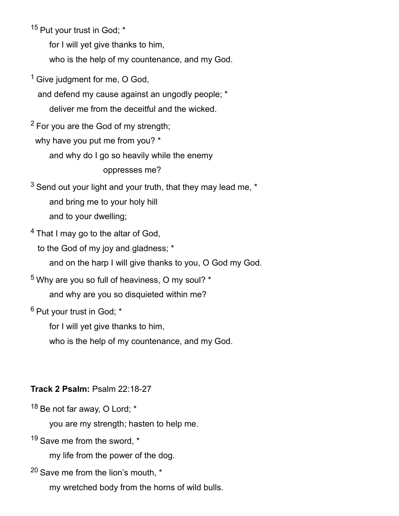<sup>15</sup> Put your trust in God; \*

for I will yet give thanks to him,

who is the help of my countenance, and my God.

 $1$  Give judgment for me, O God,

 and defend my cause against an ungodly people; \* deliver me from the deceitful and the wicked.

 $2$  For you are the God of my strength;

why have you put me from you? \*

and why do I go so heavily while the enemy

oppresses me?

 $3$  Send out your light and your truth, that they may lead me,  $*$  and bring me to your holy hill and to your dwelling;

<sup>4</sup> That I may go to the altar of God.

to the God of my joy and gladness; \*

and on the harp I will give thanks to you, O God my God.

 $5$  Why are you so full of heaviness, O my soul?  $*$ and why are you so disquieted within me?

<sup>6</sup> Put your trust in God; \*

for I will yet give thanks to him,

who is the help of my countenance, and my God.

### **Track 2 Psalm:** Psalm 22:18-27

 $18$  Be not far away. O Lord:  $*$ 

you are my strength; hasten to help me.

 $19$  Save me from the sword,  $*$ 

my life from the power of the dog.

<sup>20</sup> Save me from the lion's mouth, \*

my wretched body from the horns of wild bulls.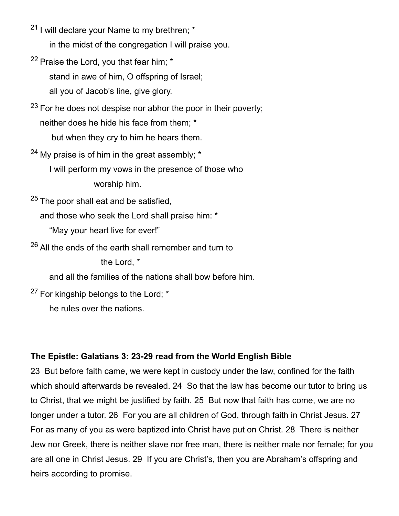- $21$  I will declare your Name to my brethren;  $*$ in the midst of the congregation I will praise you.
- $22$  Praise the Lord, you that fear him;  $*$  stand in awe of him, O offspring of Israel; all you of Jacob's line, give glory.

 $23$  For he does not despise nor abhor the poor in their poverty; neither does he hide his face from them; \* but when they cry to him he hears them.

 $24$  My praise is of him in the great assembly;  $*$  I will perform my vows in the presence of those who worship him.

 $25$  The poor shall eat and be satisfied,

and those who seek the Lord shall praise him: \*

"May your heart live for ever!"

 $26$  All the ends of the earth shall remember and turn to

the Lord, \*

and all the families of the nations shall bow before him.

<sup>27</sup> For kingship belongs to the Lord; \*

he rules over the nations.

## **The Epistle: Galatians 3: 23-29 read from the World English Bible**

23 But before faith came, we were kept in custody under the law, confined for the faith which should afterwards be revealed. 24 So that the law has become our tutor to bring us to Christ, that we might be justified by faith. 25 But now that faith has come, we are no longer under a tutor. 26 For you are all children of God, through faith in Christ Jesus. 27 For as many of you as were baptized into Christ have put on Christ. 28 There is neither Jew nor Greek, there is neither slave nor free man, there is neither male nor female; for you are all one in Christ Jesus. 29 If you are Christ's, then you are Abraham's offspring and heirs according to promise.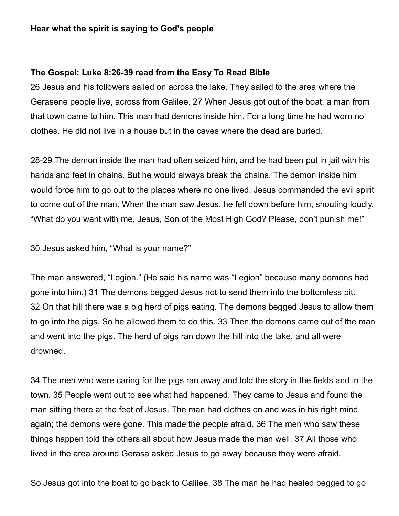### **Hear what the spirit is saying to God's people**

#### **The Gospel: Luke 8:26-39 read from the Easy To Read Bible**

26 Jesus and his followers sailed on across the lake. They sailed to the area where the Gerasene people live, across from Galilee. 27 When Jesus got out of the boat, a man from that town came to him. This man had demons inside him. For a long time he had worn no clothes. He did not live in a house but in the caves where the dead are buried.

28-29 The demon inside the man had often seized him, and he had been put in jail with his hands and feet in chains. But he would always break the chains. The demon inside him would force him to go out to the places where no one lived. Jesus commanded the evil spirit to come out of the man. When the man saw Jesus, he fell down before him, shouting loudly, "What do you want with me, Jesus, Son of the Most High God? Please, don't punish me!"

30 Jesus asked him, "What is your name?"

The man answered, "Legion." (He said his name was "Legion" because many demons had gone into him.) 31 The demons begged Jesus not to send them into the bottomless pit. 32 On that hill there was a big herd of pigs eating. The demons begged Jesus to allow them to go into the pigs. So he allowed them to do this. 33 Then the demons came out of the man and went into the pigs. The herd of pigs ran down the hill into the lake, and all were drowned.

34 The men who were caring for the pigs ran away and told the story in the fields and in the town. 35 People went out to see what had happened. They came to Jesus and found the man sitting there at the feet of Jesus. The man had clothes on and was in his right mind again; the demons were gone. This made the people afraid. 36 The men who saw these things happen told the others all about how Jesus made the man well. 37 All those who lived in the area around Gerasa asked Jesus to go away because they were afraid.

So Jesus got into the boat to go back to Galilee. 38 The man he had healed begged to go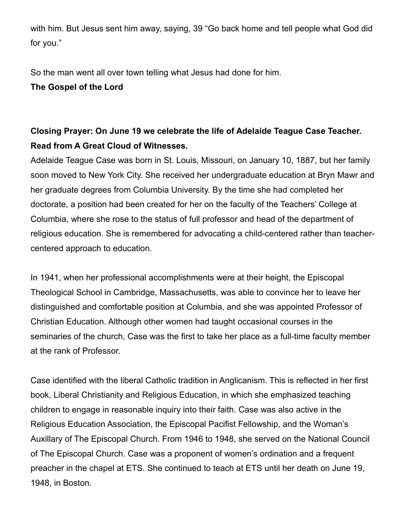with him. But Jesus sent him away, saying, 39 "Go back home and tell people what God did for you."

So the man went all over town telling what Jesus had done for him. **The Gospel of the Lord**

# **Closing Prayer: On June 19 we celebrate the life of Adelaide Teague Case Teacher. Read from A Great Cloud of Witnesses.**

Adelaide Teague Case was born in St. Louis, Missouri, on January 10, 1887, but her family soon moved to New York City. She received her undergraduate education at Bryn Mawr and her graduate degrees from Columbia University. By the time she had completed her doctorate, a position had been created for her on the faculty of the Teachers' College at Columbia, where she rose to the status of full professor and head of the department of religious education. She is remembered for advocating a child-centered rather than teachercentered approach to education.

In 1941, when her professional accomplishments were at their height, the Episcopal Theological School in Cambridge, Massachusetts, was able to convince her to leave her distinguished and comfortable position at Columbia, and she was appointed Professor of Christian Education. Although other women had taught occasional courses in the seminaries of the church, Case was the first to take her place as a full-time faculty member at the rank of Professor.

Case identified with the liberal Catholic tradition in Anglicanism. This is reflected in her first book, Liberal Christianity and Religious Education, in which she emphasized teaching children to engage in reasonable inquiry into their faith. Case was also active in the Religious Education Association, the Episcopal Pacifist Fellowship, and the Woman's Auxillary of The Episcopal Church. From 1946 to 1948, she served on the National Council of The Episcopal Church. Case was a proponent of women's ordination and a frequent preacher in the chapel at ETS. She continued to teach at ETS until her death on June 19, 1948, in Boston.